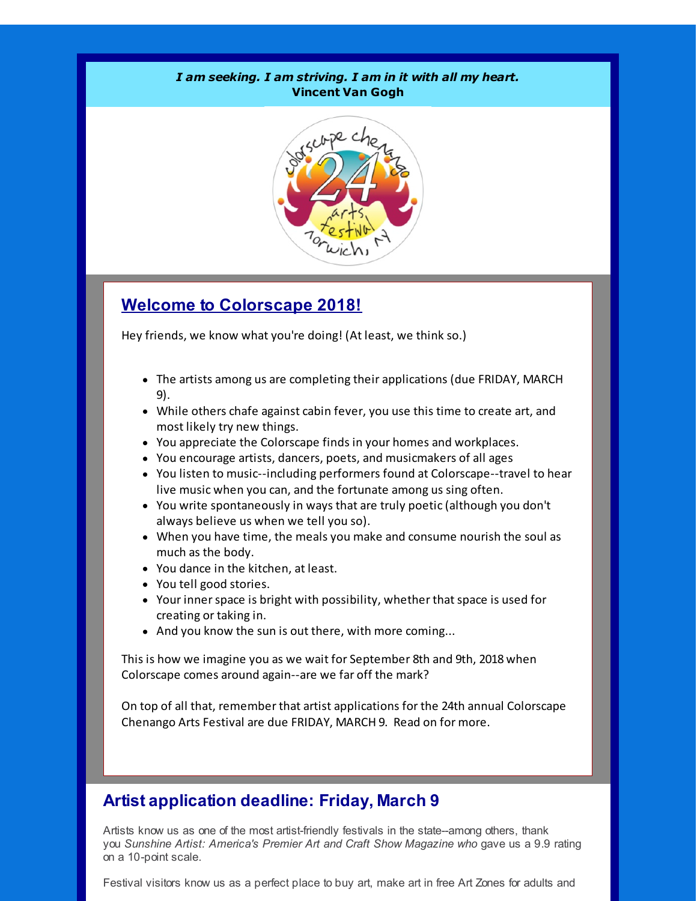#### *I am seeking. I am striving. I am in it with all my heart.* **Vincent Van Gogh**



# **Welcome to Colorscape 2018!**

Hey friends, we know what you're doing! (At least, we think so.)

- The artists among us are completing their applications (due FRIDAY, MARCH 9).
- While others chafe against cabin fever, you use this time to create art, and most likely try new things.
- You appreciate the Colorscape finds in your homes and workplaces.
- You encourage artists, dancers, poets, and musicmakers of all ages
- You listen to music--including performers found at Colorscape--travel to hear live music when you can, and the fortunate among us sing often.
- You write spontaneously in ways that are truly poetic (although you don't always believe us when we tell you so).
- When you have time, the meals you make and consume nourish the soul as much as the body.
- You dance in the kitchen, at least.
- You tell good stories.
- Your inner space is bright with possibility, whether that space is used for creating or taking in.
- And you know the sun is out there, with more coming...

This is how we imagine you as we wait for September 8th and 9th, 2018 when Colorscape comes around again--are we far off the mark?

On top of all that, remember that artist applications for the 24th annual Colorscape Chenango Arts Festival are due FRIDAY, MARCH 9. Read on for more.

# **Artist application deadline: Friday, March 9**

Artists know us as one of the most artist-friendly festivals in the state--among others, thank you *Sunshine Artist: America's Premier Art and Craft Show Magazine who* gave us a 9.9 rating on a 10-point scale.

Festival visitors know us as a perfect place to buy art, make art in free Art Zones for adults and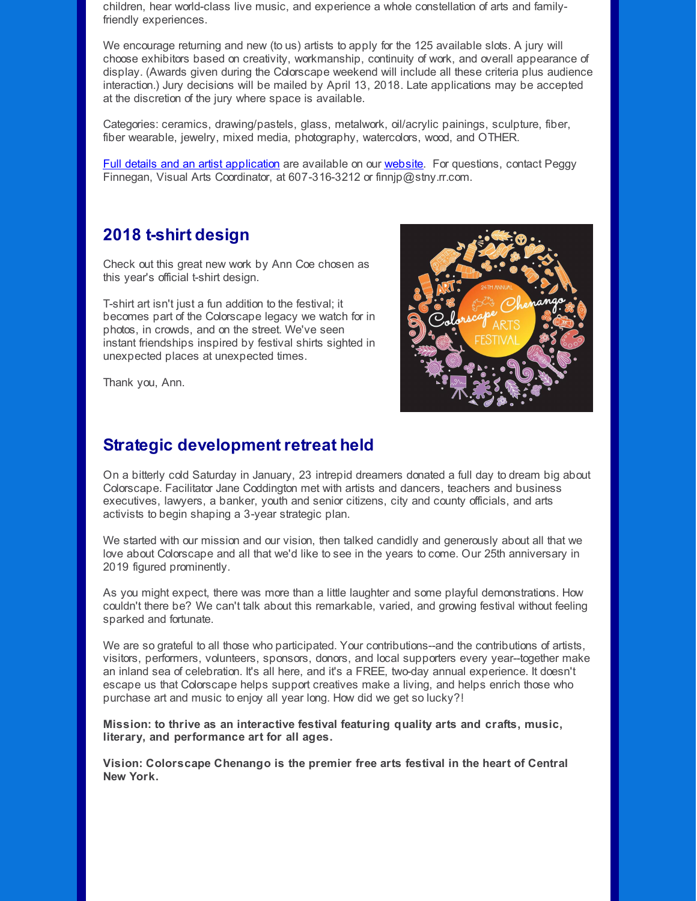children, hear world-class live music, and experience a whole constellation of arts and familyfriendly experiences.

We encourage returning and new (to us) artists to apply for the 125 available slots. A jury will choose exhibitors based on creativity, workmanship, continuity of work, and overall appearance of display. (Awards given during the Colorscape weekend will include all these criteria plus audience interaction.) Jury decisions will be mailed by April 13, 2018. Late applications may be accepted at the discretion of the jury where space is available.

Categories: ceramics, drawing/pastels, glass, metalwork, oil/acrylic painings, sculpture, fiber, fiber wearable, jewelry, mixed media, photography, watercolors, wood, and OTHER.

Full details and an artist [application](http://r20.rs6.net/tn.jsp?f=001Dz-oMT7fE9EqlRoF2JLN73Z-9taaGkkU9PPNHJq07kntwPv26TF79mlyLURDKv7eTB2H2VVF5OASnMdPCmZpXzBRuQICJu8BERFgYhrVXDCiKx2xjxlvVVxWW9mxVziMmGATt93owx0TyTduN4rej2F71Ap6Sdltwl8v0Y5WYWFYhH12F_XwZjksHnnXCa5U&c=&ch=) are available on our [website.](http://r20.rs6.net/tn.jsp?f=001Dz-oMT7fE9EqlRoF2JLN73Z-9taaGkkU9PPNHJq07kntwPv26TF79mlyLURDKv7eBIM1TOdiYBOCd7lM3cQUZWlXcH01z5LcvcLcwSZ2QkLqI7P4W4hnA8M6LT07vMl7-Tk97Az30SkbycFpK2piXOaPCNLWsRxM0vYlfsRDxa4=&c=&ch=) For questions, contact Peggy Finnegan, Visual Arts Coordinator, at 607-316-3212 or finnjp@stny.rr.com.

### **2018 t-shirt design**

Check out this great new work by Ann Coe chosen as this year's official t-shirt design.

T-shirt art isn't just a fun addition to the festival; it becomes part of the Colorscape legacy we watch for in photos, in crowds, and on the street. We've seen instant friendships inspired by festival shirts sighted in unexpected places at unexpected times.

Thank you, Ann.



#### **Strategic development retreat held**

On a bitterly cold Saturday in January, 23 intrepid dreamers donated a full day to dream big about Colorscape. Facilitator Jane Coddington met with artists and dancers, teachers and business executives, lawyers, a banker, youth and senior citizens, city and county officials, and arts activists to begin shaping a 3-year strategic plan.

We started with our mission and our vision, then talked candidly and generously about all that we love about Colorscape and all that we'd like to see in the years to come. Our 25th anniversary in 2019 figured prominently.

As you might expect, there was more than a little laughter and some playful demonstrations. How couldn't there be? We can't talk about this remarkable, varied, and growing festival without feeling sparked and fortunate.

We are so grateful to all those who participated. Your contributions--and the contributions of artists, visitors, performers, volunteers, sponsors, donors, and local supporters every year--together make an inland sea of celebration. It's all here, and it's a FREE, two-day annual experience. It doesn't escape us that Colorscape helps support creatives make a living, and helps enrich those who purchase art and music to enjoy all year long. How did we get so lucky?!

**Mission: to thrive as an interactive festival featuring quality arts and crafts, music, literary, and performance art for all ages.**

**Vision: Colorscape Chenango is the premier free arts festival in the heart of Central New York.**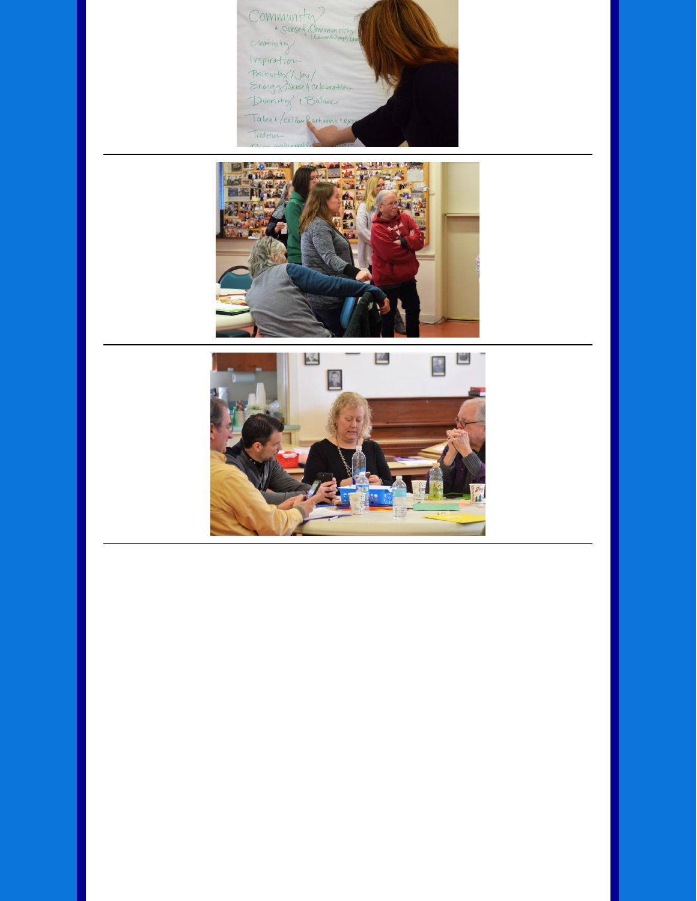Community<br>
senses Community<br>
creativity<br>
Inspiration<br>
Foitivity / Joy<br>
Energy Tsenses celebration<br>
Diversity + Balance Talent/caliber Part, music 12x Tradition



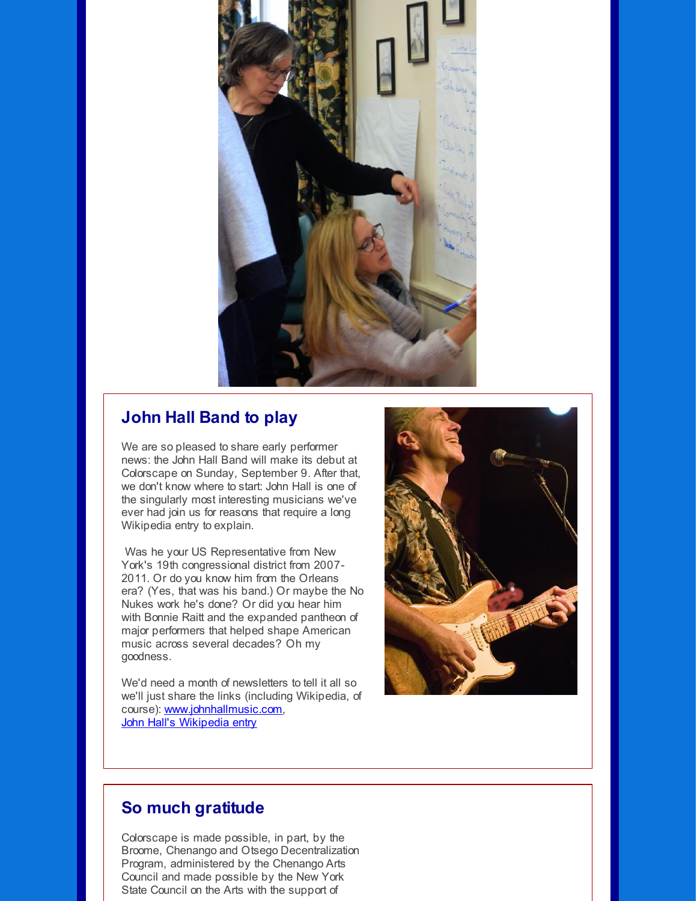

## **John Hall Band to play**

We are so pleased to share early performer news: the John Hall Band will make its debut at Colorscape on Sunday, September 9. After that, we don't know where to start: John Hall is one of the singularly most interesting musicians we've ever had join us for reasons that require a long Wikipedia entry to explain.

Was he your US Representative from New York's 19th congressional district from 2007- 2011. Or do you know him from the Orleans era? (Yes, that was his band.) Or maybe the No Nukes work he's done? Or did you hear him with Bonnie Raitt and the expanded pantheon of major performers that helped shape American music across several decades? Oh my goodness.

We'd need a month of newsletters to tell it all so we'll just share the links (including Wikipedia, of course): [www.johnhallmusic.com](http://r20.rs6.net/tn.jsp?f=001Dz-oMT7fE9EqlRoF2JLN73Z-9taaGkkU9PPNHJq07kntwPv26TF79mlyLURDKv7erHB9F_hQYus7twYzhPtQVFBB9U7HFCYMJGInmLYZQclwnJSap83cji4YmYQh5Y5k-rZ_5r3uH3TyMFFfSwHNttYduLRxkbnQ-DMmFCAJuQmvpO9xkooYNA==&c=&ch=), John Hall's [Wikipedia](http://r20.rs6.net/tn.jsp?f=001Dz-oMT7fE9EqlRoF2JLN73Z-9taaGkkU9PPNHJq07kntwPv26TF79mlyLURDKv7e0mSzEARgZmERAfhznA9rUSWwxBqKLzakf1wZ_i6E73WINu8-bGo4YcE9hkROdHTdt31l6fL9grtI8iUbQGAgAxGd70KVrklmuXHoi4nxY8_HuQfkTTQB_l8AZlAs2f4tc7IZkkZXpWa5CCB75UgnlOkKvlffTLJQATbo6BiIwfs=&c=&ch=) entry



# **So much gratitude**

Colorscape is made possible, in part, by the Broome, Chenango and Otsego Decentralization Program, administered by the Chenango Arts Council and made possible by the New York State Council on the Arts with the support of